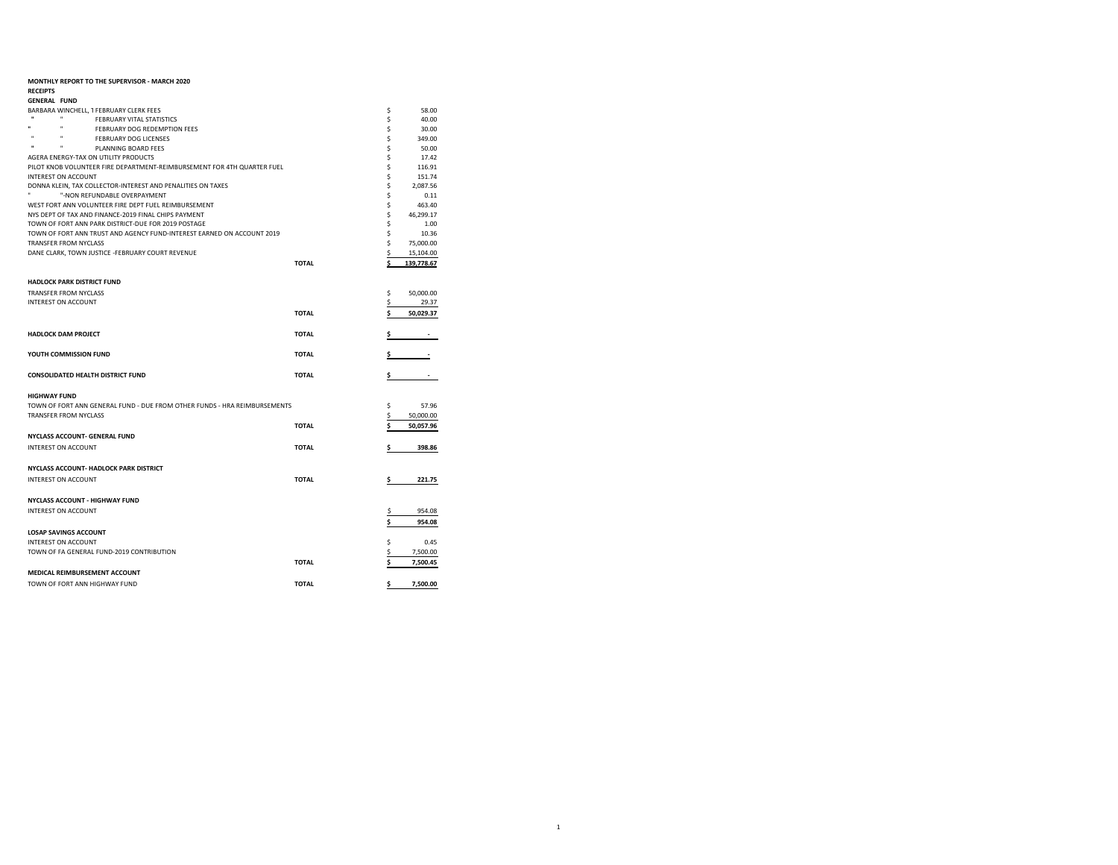| MONTHLY REPORT TO THE SUPERVISOR - MARCH 2020                                        |              |          |                |
|--------------------------------------------------------------------------------------|--------------|----------|----------------|
| <b>RECEIPTS</b><br><b>GENERAL FUND</b>                                               |              |          |                |
| BARBARA WINCHELL, 1 FEBRUARY CLERK FEES                                              |              | \$       | 58.00          |
| ×<br>$\mathbf{u}$<br>FEBRUARY VITAL STATISTICS                                       |              | \$       | 40.00          |
| $\mathbf{u}$<br>FEBRUARY DOG REDEMPTION FEES                                         |              | \$       | 30.00          |
| $\mathbf{u}$<br>$\mathbf{u}$<br>FEBRUARY DOG LICENSES                                |              | \$       | 349.00         |
| $\mathbf{u}$<br>$\mathbf{u}$<br>PLANNING BOARD FEES                                  |              | \$       | 50.00          |
| AGERA ENERGY-TAX ON UTILITY PRODUCTS                                                 |              | \$       | 17.42          |
| PILOT KNOB VOLUNTEER FIRE DEPARTMENT-REIMBURSEMENT FOR 4TH QUARTER FUEL              |              | \$       | 116.91         |
| INTEREST ON ACCOUNT                                                                  |              | \$       | 151.74         |
| DONNA KLEIN, TAX COLLECTOR-INTEREST AND PENALITIES ON TAXES                          |              | \$       | 2,087.56       |
| "-NON REFUNDABLE OVERPAYMENT<br>WEST FORT ANN VOLUNTEER FIRE DEPT FUEL REIMBURSEMENT |              | \$       | 0.11<br>463.40 |
| NYS DEPT OF TAX AND FINANCE-2019 FINAL CHIPS PAYMENT                                 |              | \$<br>\$ | 46,299.17      |
| TOWN OF FORT ANN PARK DISTRICT-DUE FOR 2019 POSTAGE                                  |              | \$       | 1.00           |
| TOWN OF FORT ANN TRUST AND AGENCY FUND-INTEREST EARNED ON ACCOUNT 2019               |              | \$       | 10.36          |
| <b>TRANSFER FROM NYCLASS</b>                                                         |              | \$       | 75,000.00      |
| DANE CLARK, TOWN JUSTICE -FEBRUARY COURT REVENUE                                     |              | \$       | 15,104.00      |
|                                                                                      | <b>TOTAL</b> | Ś        | 139,778.67     |
|                                                                                      |              |          |                |
| <b>HADLOCK PARK DISTRICT FUND</b>                                                    |              |          |                |
| <b>TRANSFER FROM NYCLASS</b>                                                         |              | \$       | 50,000.00      |
| <b>INTEREST ON ACCOUNT</b>                                                           |              | \$       | 29.37          |
|                                                                                      | <b>TOTAL</b> | \$       | 50,029.37      |
|                                                                                      |              |          |                |
| <b>HADLOCK DAM PROJECT</b>                                                           | <b>TOTAL</b> |          |                |
|                                                                                      |              |          |                |
| YOUTH COMMISSION FUND                                                                | <b>TOTAL</b> |          |                |
|                                                                                      |              |          |                |
| <b>CONSOLIDATED HEALTH DISTRICT FUND</b>                                             | <b>TOTAL</b> | s        |                |
|                                                                                      |              |          |                |
| <b>HIGHWAY FUND</b>                                                                  |              |          |                |
| TOWN OF FORT ANN GENERAL FUND - DUE FROM OTHER FUNDS - HRA REIMBURSEMENTS            |              | Ś        | 57.96          |
| <b>TRANSFER FROM NYCLASS</b>                                                         |              | \$       | 50,000.00      |
|                                                                                      | <b>TOTAL</b> | \$       | 50,057.96      |
| <b>NYCLASS ACCOUNT- GENERAL FUND</b>                                                 |              |          |                |
| <b>INTEREST ON ACCOUNT</b>                                                           | <b>TOTAL</b> | s        | 398.86         |
|                                                                                      |              |          |                |
| NYCLASS ACCOUNT- HADLOCK PARK DISTRICT                                               |              |          |                |
| <b>INTEREST ON ACCOUNT</b>                                                           | <b>TOTAL</b> | s        | 221.75         |
|                                                                                      |              |          |                |
| <b>NYCLASS ACCOUNT - HIGHWAY FUND</b>                                                |              |          |                |
| <b>INTEREST ON ACCOUNT</b>                                                           |              |          | 954.08         |
|                                                                                      |              | Ś        | 954.08         |
| <b>LOSAP SAVINGS ACCOUNT</b>                                                         |              |          |                |
| <b>INTEREST ON ACCOUNT</b>                                                           |              | Ś        | 0.45           |
| TOWN OF FA GENERAL FUND-2019 CONTRIBUTION                                            |              | \$       | 7,500.00       |
|                                                                                      | <b>TOTAL</b> | \$       | 7,500.45       |
| MEDICAL REIMBURSEMENT ACCOUNT                                                        |              |          |                |
| TOWN OF FORT ANN HIGHWAY FUND                                                        | <b>TOTAL</b> | \$       | 7,500.00       |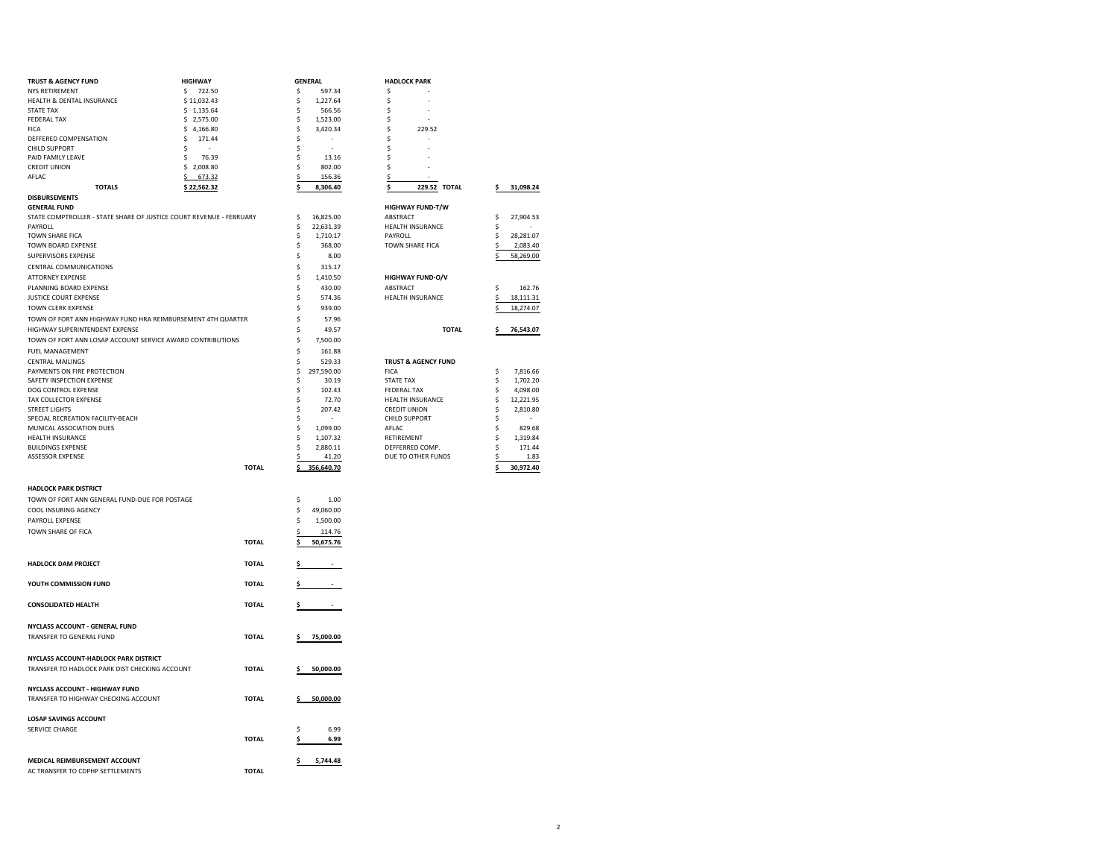| TRUST & AGENCY FUND                                                 | <b>HIGHWAY</b>       | <b>GENERAL</b>            | <b>HADLOCK PARK</b>            |                  |
|---------------------------------------------------------------------|----------------------|---------------------------|--------------------------------|------------------|
| NYS RETIREMENT                                                      | \$<br>722.50         | \$<br>597.34              | \$                             |                  |
| HEALTH & DENTAL INSURANCE                                           | \$11,032.43          | \$<br>1,227.64            | \$                             |                  |
| <b>STATE TAX</b>                                                    | \$1,135.64           | \$<br>566.56              | \$                             |                  |
| <b>FEDERAL TAX</b>                                                  | \$2.575.00           | \$<br>1,523.00            | \$                             |                  |
| <b>FICA</b><br>DEFFERED COMPENSATION                                | \$4,166.80<br>171.44 | \$<br>3,420.34<br>\$<br>٠ | \$<br>229.52<br>\$             |                  |
| CHILD SUPPORT                                                       | \$<br>\$             | \$                        | \$                             |                  |
| PAID FAMILY LEAVE                                                   | 76.39<br>Ś           | \$<br>13.16               | \$                             |                  |
| <b>CREDIT UNION</b>                                                 | \$2,008.80           | \$<br>802.00              | \$                             |                  |
| AFLAC                                                               | \$<br>673.32         | \$<br>156.36              | \$                             |                  |
| <b>TOTALS</b>                                                       | \$22,562.32          | \$<br>8,306.40            | \$<br>229.52 TOTAL             | 31,098.24<br>\$. |
| <b>DISBURSEMENTS</b>                                                |                      |                           |                                |                  |
| <b>GENERAL FUND</b>                                                 |                      |                           | <b>HIGHWAY FUND-T/W</b>        |                  |
| STATE COMPTROLLER - STATE SHARE OF JUSTICE COURT REVENUE - FEBRUARY |                      | \$<br>16.825.00           | ABSTRACT                       | \$<br>27,904.53  |
| PAYROLL                                                             |                      | \$<br>22,631.39           | HEALTH INSURANCE               | \$               |
| <b>TOWN SHARF FICA</b>                                              |                      | \$<br>1,710.17            | PAYROLL                        | \$<br>28,281.07  |
| <b>TOWN BOARD EXPENSE</b>                                           |                      | \$<br>368.00              | <b>TOWN SHARE FICA</b>         | \$<br>2,083.40   |
| <b>SUPERVISORS EXPENSE</b>                                          |                      | \$<br>8.00                |                                | \$<br>58,269.00  |
| CENTRAL COMMUNICATIONS                                              |                      | \$<br>315.17              |                                |                  |
| <b>ATTORNEY EXPENSE</b>                                             |                      | \$<br>1.410.50            | <b>HIGHWAY FUND-O/V</b>        |                  |
| PLANNING BOARD EXPENSE                                              |                      | \$<br>430.00              | ABSTRACT                       | \$<br>162.76     |
| JUSTICE COURT EXPENSE                                               |                      | \$<br>574.36              | HEALTH INSURANCE               | \$<br>18,111.31  |
| <b>TOWN CLERK EXPENSE</b>                                           |                      | \$<br>939.00              |                                | Ś<br>18,274.07   |
| TOWN OF FORT ANN HIGHWAY FUND HRA REIMBURSEMENT 4TH QUARTER         |                      | \$<br>57.96               |                                |                  |
| HIGHWAY SUPERINTENDENT EXPENSE                                      |                      | \$<br>49.57               | <b>TOTAL</b>                   | \$<br>76,543.07  |
| TOWN OF FORT ANN LOSAP ACCOUNT SERVICE AWARD CONTRIBUTIONS          |                      | \$<br>7,500.00            |                                |                  |
| FUEL MANAGEMENT                                                     |                      | \$<br>161.88              |                                |                  |
| <b>CENTRAL MAILINGS</b>                                             |                      | \$<br>529.33              | <b>TRUST &amp; AGENCY FUND</b> |                  |
| PAYMENTS ON FIRE PROTECTION                                         |                      | 297,590.00<br>\$          | <b>FICA</b>                    | \$<br>7.816.66   |
| SAFFTY INSPECTION EXPENSE                                           |                      | \$<br>30.19               | <b>STATE TAX</b>               | \$<br>1,702.20   |
| DOG CONTROL EXPENSE                                                 |                      | \$<br>102.43              | FFDFRAL TAX                    | \$<br>4.098.00   |
| <b>TAX COLLECTOR EXPENSE</b>                                        |                      | \$<br>72.70               | <b>HEALTH INSURANCE</b>        | \$<br>12.221.95  |
| <b>STREET LIGHTS</b>                                                |                      | \$<br>207.42              | <b>CREDIT UNION</b>            | \$<br>2.810.80   |
| SPECIAL RECREATION FACILITY-REACH                                   |                      | \$                        | <b>CHILD SUPPORT</b>           | \$               |
| MUNICAL ASSOCIATION DUES                                            |                      | \$<br>1.099.00            | AFLAC                          | \$<br>829.68     |
| <b>HEALTH INSURANCE</b>                                             |                      | \$<br>1,107.32            | RETIREMENT                     | \$<br>1.319.84   |
| <b>BUILDINGS EXPENSE</b>                                            |                      | \$<br>2,880.11            | DEFFERRED COMP.                | Ś<br>171.44      |
| ASSESSOR EXPENSE                                                    |                      | \$<br>41.20               | DUE TO OTHER FUNDS             | \$<br>1.83       |
|                                                                     | <b>TOTAL</b>         | \$<br>356,640.70          |                                | \$<br>30,972.40  |
|                                                                     |                      |                           |                                |                  |
| <b>HADLOCK PARK DISTRICT</b>                                        |                      |                           |                                |                  |
| TOWN OF FORT ANN GENERAL FUND-DUE FOR POSTAGE                       |                      | \$<br>1.00                |                                |                  |
| COOL INSURING AGENCY                                                |                      | \$<br>49,060.00           |                                |                  |
| PAYROLL EXPENSE                                                     |                      | \$<br>1,500.00            |                                |                  |
| TOWN SHARE OF FICA                                                  |                      | \$<br>114.76              |                                |                  |
|                                                                     | <b>TOTAL</b>         | \$<br>50,675.76           |                                |                  |
|                                                                     |                      |                           |                                |                  |
| <b>HADLOCK DAM PROJECT</b>                                          | <b>TOTAL</b>         | \$<br>$\sim$              |                                |                  |
|                                                                     |                      |                           |                                |                  |
| YOUTH COMMISSION FUND                                               | <b>TOTAL</b>         | \$                        |                                |                  |
|                                                                     |                      |                           |                                |                  |
| <b>CONSOLIDATED HEALTH</b>                                          | <b>TOTAL</b>         |                           |                                |                  |
|                                                                     |                      |                           |                                |                  |
| NYCLASS ACCOUNT - GENERAL FUND                                      |                      |                           |                                |                  |
| TRANSFER TO GENERAL FUND                                            | <b>TOTAL</b>         | 75,000.00<br>Ś            |                                |                  |
|                                                                     |                      |                           |                                |                  |
| NYCLASS ACCOUNT-HADLOCK PARK DISTRICT                               |                      |                           |                                |                  |
| TRANSFER TO HADLOCK PARK DIST CHECKING ACCOUNT                      | <b>TOTAL</b>         | 50,000.00                 |                                |                  |
|                                                                     |                      |                           |                                |                  |
| <b>NYCLASS ACCOUNT - HIGHWAY FUND</b>                               |                      |                           |                                |                  |
| TRANSFER TO HIGHWAY CHECKING ACCOUNT                                | <b>TOTAL</b>         | 50,000.00<br>\$           |                                |                  |
|                                                                     |                      |                           |                                |                  |
| <b>LOSAP SAVINGS ACCOUNT</b>                                        |                      |                           |                                |                  |
| SERVICE CHARGE                                                      | <b>TOTAL</b>         | 6.99<br>S                 |                                |                  |
|                                                                     |                      | 6.99<br>\$                |                                |                  |
|                                                                     |                      |                           |                                |                  |
| MEDICAL REIMBURSEMENT ACCOUNT                                       | <b>TOTAL</b>         | 5,744.48<br>\$            |                                |                  |
| AC TRANSFER TO CDPHP SETTLEMENTS                                    |                      |                           |                                |                  |